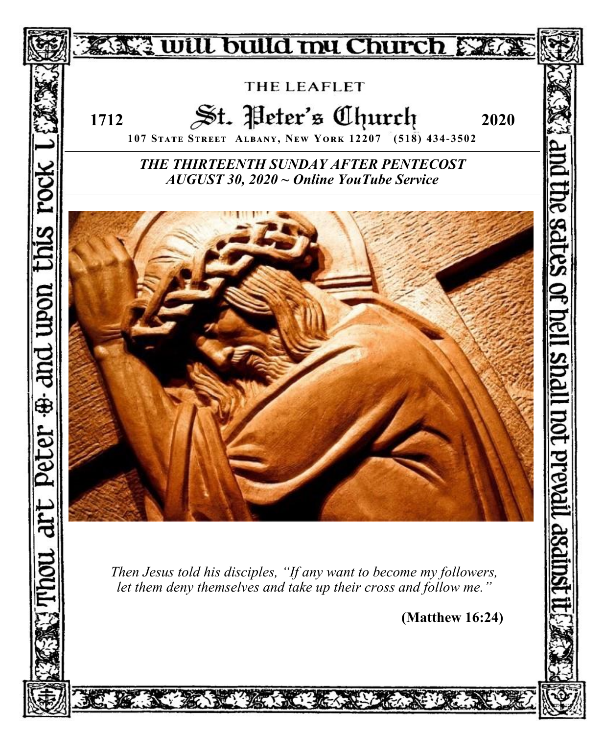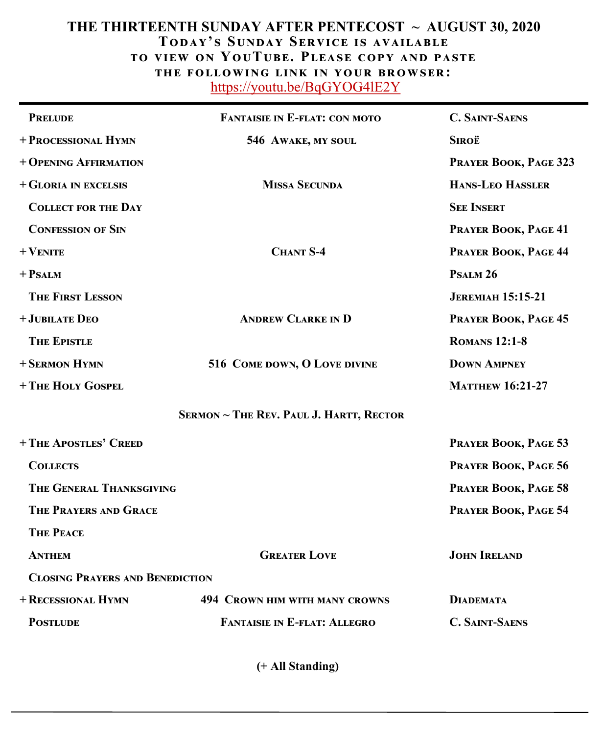# **THE THIRTEENTH SUNDAY AFTER PENTECOST ~ AUGUST 30, 2020 Today' s Sunday Service is available to view on YouTube. Please copy and paste the following link in your browser:** <https://youtu.be/BqGYOG4lE2Y>

| <b>PRELUDE</b>                         | <b>FANTAISIE IN E-FLAT: CON MOTO</b>           | <b>C. SAINT-SAENS</b>    |
|----------------------------------------|------------------------------------------------|--------------------------|
| + PROCESSIONAL HYMN                    | 546 AWAKE, MY SOUL                             | Siroë                    |
| + OPENING AFFIRMATION                  |                                                | PRAYER BOOK, PAGE 323    |
| + GLORIA IN EXCELSIS                   | <b>MISSA SECUNDA</b>                           | <b>HANS-LEO HASSLER</b>  |
| <b>COLLECT FOR THE DAY</b>             |                                                | <b>SEE INSERT</b>        |
| <b>CONFESSION OF SIN</b>               |                                                | PRAYER BOOK, PAGE 41     |
| $+$ VENITE                             | <b>CHANT S-4</b>                               | PRAYER BOOK, PAGE 44     |
| $+$ PSALM                              |                                                | PSALM <sub>26</sub>      |
| <b>THE FIRST LESSON</b>                |                                                | <b>JEREMIAH 15:15-21</b> |
| + JUBILATE DEO                         | <b>ANDREW CLARKE IN D</b>                      | PRAYER BOOK, PAGE 45     |
| <b>THE EPISTLE</b>                     |                                                | <b>ROMANS 12:1-8</b>     |
| + SERMON HYMN                          | 516 COME DOWN, O LOVE DIVINE                   | <b>DOWN AMPNEY</b>       |
| + THE HOLY GOSPEL                      |                                                | <b>MATTHEW 16:21-27</b>  |
|                                        | <b>SERMON ~ THE REV. PAUL J. HARTT, RECTOR</b> |                          |
| + THE APOSTLES' CREED                  |                                                | PRAYER BOOK, PAGE 53     |
| <b>COLLECTS</b>                        |                                                | PRAYER BOOK, PAGE 56     |
| THE GENERAL THANKSGIVING               |                                                | PRAYER BOOK, PAGE 58     |
| <b>THE PRAYERS AND GRACE</b>           |                                                | PRAYER BOOK, PAGE 54     |
| <b>THE PEACE</b>                       |                                                |                          |
| <b>ANTHEM</b>                          | <b>GREATER LOVE</b>                            | <b>JOHN IRELAND</b>      |
| <b>CLOSING PRAYERS AND BENEDICTION</b> |                                                |                          |
| + RECESSIONAL HYMN                     | <b>494 CROWN HIM WITH MANY CROWNS</b>          | <b>DIADEMATA</b>         |
| <b>POSTLUDE</b>                        | <b>FANTAISIE IN E-FLAT: ALLEGRO</b>            | <b>C. SAINT-SAENS</b>    |
|                                        |                                                |                          |

 **(+ All Standing)**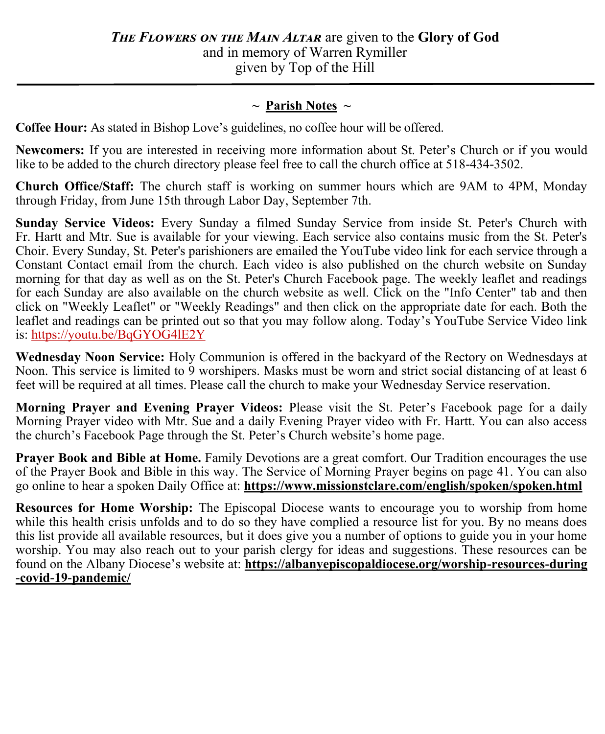# **~ Parish Notes ~**

**Coffee Hour:** As stated in Bishop Love's guidelines, no coffee hour will be offered.

**Newcomers:** If you are interested in receiving more information about St. Peter's Church or if you would like to be added to the church directory please feel free to call the church office at 518-434-3502.

**Church Office/Staff:** The church staff is working on summer hours which are 9AM to 4PM, Monday through Friday, from June 15th through Labor Day, September 7th.

**Sunday Service Videos:** Every Sunday a filmed Sunday Service from inside St. Peter's Church with Fr. Hartt and Mtr. Sue is available for your viewing. Each service also contains music from the St. Peter's Choir. Every Sunday, St. Peter's parishioners are emailed the YouTube video link for each service through a Constant Contact email from the church. Each video is also published on the church website on Sunday morning for that day as well as on the St. Peter's Church Facebook page. The weekly leaflet and readings for each Sunday are also available on the church website as well. Click on the "Info Center" tab and then click on "Weekly Leaflet" or "Weekly Readings" and then click on the appropriate date for each. Both the leaflet and readings can be printed out so that you may follow along. Today's YouTube Service Video link is:<https://youtu.be/BqGYOG4lE2Y>

**Wednesday Noon Service:** Holy Communion is offered in the backyard of the Rectory on Wednesdays at Noon. This service is limited to 9 worshipers. Masks must be worn and strict social distancing of at least 6 feet will be required at all times. Please call the church to make your Wednesday Service reservation.

**Morning Prayer and Evening Prayer Videos:** Please visit the St. Peter's Facebook page for a daily Morning Prayer video with Mtr. Sue and a daily Evening Prayer video with Fr. Hartt. You can also access the church's Facebook Page through the St. Peter's Church website's home page.

**Prayer Book and Bible at Home.** Family Devotions are a great comfort. Our Tradition encourages the use of the Prayer Book and Bible in this way. The Service of Morning Prayer begins on page 41. You can also go online to hear a spoken Daily Office at: **https://www.missionstclare.com/english/spoken/spoken.html** 

**Resources for Home Worship:** The Episcopal Diocese wants to encourage you to worship from home while this health crisis unfolds and to do so they have complied a resource list for you. By no means does this list provide all available resources, but it does give you a number of options to guide you in your home worship. You may also reach out to your parish clergy for ideas and suggestions. These resources can be found on the Albany Diocese's website at: **https://albanyepiscopaldiocese.org/worship-resources-during -covid-19-pandemic/**